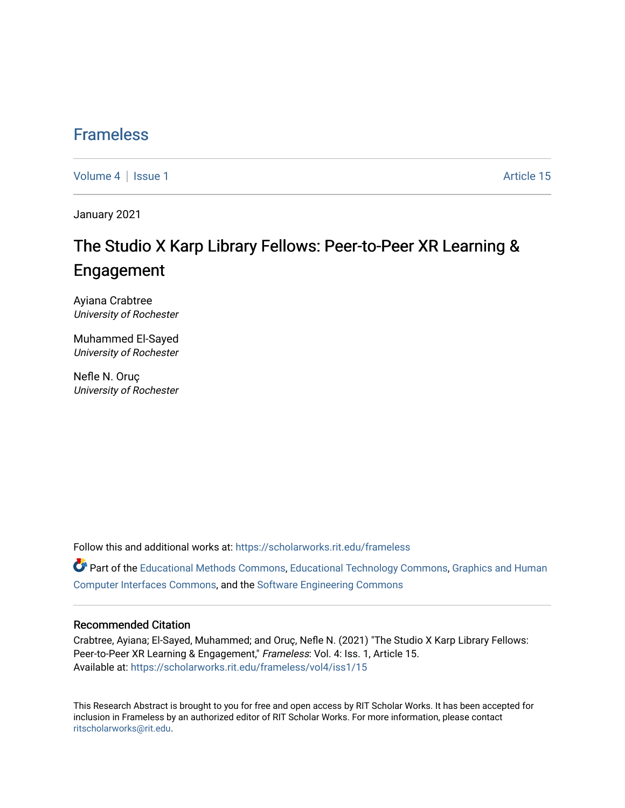## [Frameless](https://scholarworks.rit.edu/frameless)

[Volume 4](https://scholarworks.rit.edu/frameless/vol4) | [Issue 1](https://scholarworks.rit.edu/frameless/vol4/iss1) Article 15

January 2021

## The Studio X Karp Library Fellows: Peer-to-Peer XR Learning & Engagement

Ayiana Crabtree University of Rochester

Muhammed El-Sayed University of Rochester

Nefle N. Oruç University of Rochester

Follow this and additional works at: [https://scholarworks.rit.edu/frameless](https://scholarworks.rit.edu/frameless?utm_source=scholarworks.rit.edu%2Fframeless%2Fvol4%2Fiss1%2F15&utm_medium=PDF&utm_campaign=PDFCoverPages)

Part of the [Educational Methods Commons,](https://network.bepress.com/hgg/discipline/1227?utm_source=scholarworks.rit.edu%2Fframeless%2Fvol4%2Fiss1%2F15&utm_medium=PDF&utm_campaign=PDFCoverPages) [Educational Technology Commons,](https://network.bepress.com/hgg/discipline/1415?utm_source=scholarworks.rit.edu%2Fframeless%2Fvol4%2Fiss1%2F15&utm_medium=PDF&utm_campaign=PDFCoverPages) [Graphics and Human](https://network.bepress.com/hgg/discipline/146?utm_source=scholarworks.rit.edu%2Fframeless%2Fvol4%2Fiss1%2F15&utm_medium=PDF&utm_campaign=PDFCoverPages) [Computer Interfaces Commons,](https://network.bepress.com/hgg/discipline/146?utm_source=scholarworks.rit.edu%2Fframeless%2Fvol4%2Fiss1%2F15&utm_medium=PDF&utm_campaign=PDFCoverPages) and the [Software Engineering Commons](https://network.bepress.com/hgg/discipline/150?utm_source=scholarworks.rit.edu%2Fframeless%2Fvol4%2Fiss1%2F15&utm_medium=PDF&utm_campaign=PDFCoverPages)

#### Recommended Citation

Crabtree, Ayiana; El-Sayed, Muhammed; and Oruç, Nefle N. (2021) "The Studio X Karp Library Fellows: Peer-to-Peer XR Learning & Engagement," Frameless: Vol. 4: Iss. 1, Article 15. Available at: [https://scholarworks.rit.edu/frameless/vol4/iss1/15](https://scholarworks.rit.edu/frameless/vol4/iss1/15?utm_source=scholarworks.rit.edu%2Fframeless%2Fvol4%2Fiss1%2F15&utm_medium=PDF&utm_campaign=PDFCoverPages) 

This Research Abstract is brought to you for free and open access by RIT Scholar Works. It has been accepted for inclusion in Frameless by an authorized editor of RIT Scholar Works. For more information, please contact [ritscholarworks@rit.edu](mailto:ritscholarworks@rit.edu).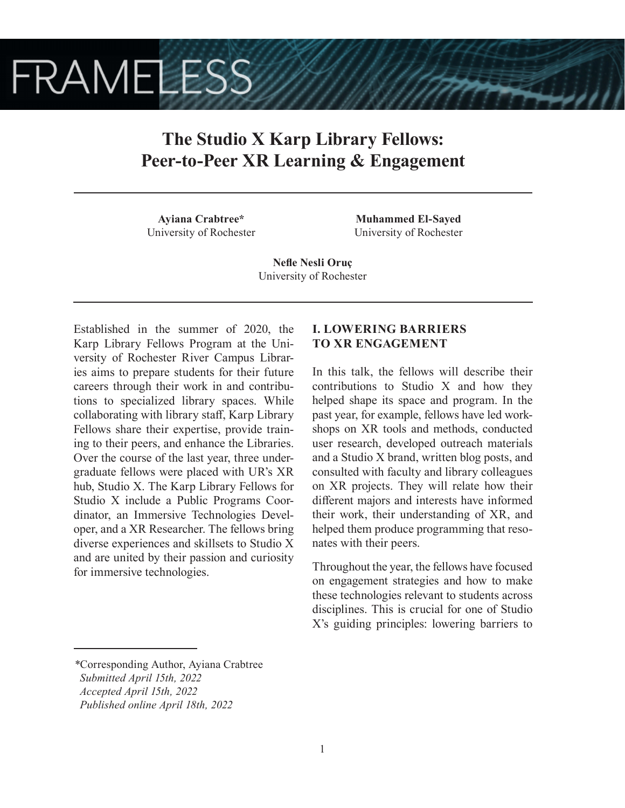# **FRAMELESS**

## **The Studio X Karp Library Fellows: Peer-to-Peer XR Learning & Engagement**

**Ayiana Crabtree\*** University of Rochester

**Muhammed El-Sayed** University of Rochester

**Nefle Nesli Oruç** University of Rochester

Established in the summer of 2020, the Karp Library Fellows Program at the University of Rochester River Campus Libraries aims to prepare students for their future careers through their work in and contributions to specialized library spaces. While collaborating with library staff, Karp Library Fellows share their expertise, provide training to their peers, and enhance the Libraries. Over the course of the last year, three undergraduate fellows were placed with UR's XR hub, Studio X. The Karp Library Fellows for Studio X include a Public Programs Coordinator, an Immersive Technologies Developer, and a XR Researcher. The fellows bring diverse experiences and skillsets to Studio X and are united by their passion and curiosity for immersive technologies.

#### **I. LOWERING BARRIERS TO XR ENGAGEMENT**

In this talk, the fellows will describe their contributions to Studio X and how they helped shape its space and program. In the past year, for example, fellows have led workshops on XR tools and methods, conducted user research, developed outreach materials and a Studio X brand, written blog posts, and consulted with faculty and library colleagues on XR projects. They will relate how their different majors and interests have informed their work, their understanding of XR, and helped them produce programming that resonates with their peers.

Throughout the year, the fellows have focused on engagement strategies and how to make these technologies relevant to students across disciplines. This is crucial for one of Studio X's guiding principles: lowering barriers to

*<sup>\*</sup>*Corresponding Author, Ayiana Crabtree  *Submitted April 15th, 2022 Accepted April 15th, 2022*

*Published online April 18th, 2022*